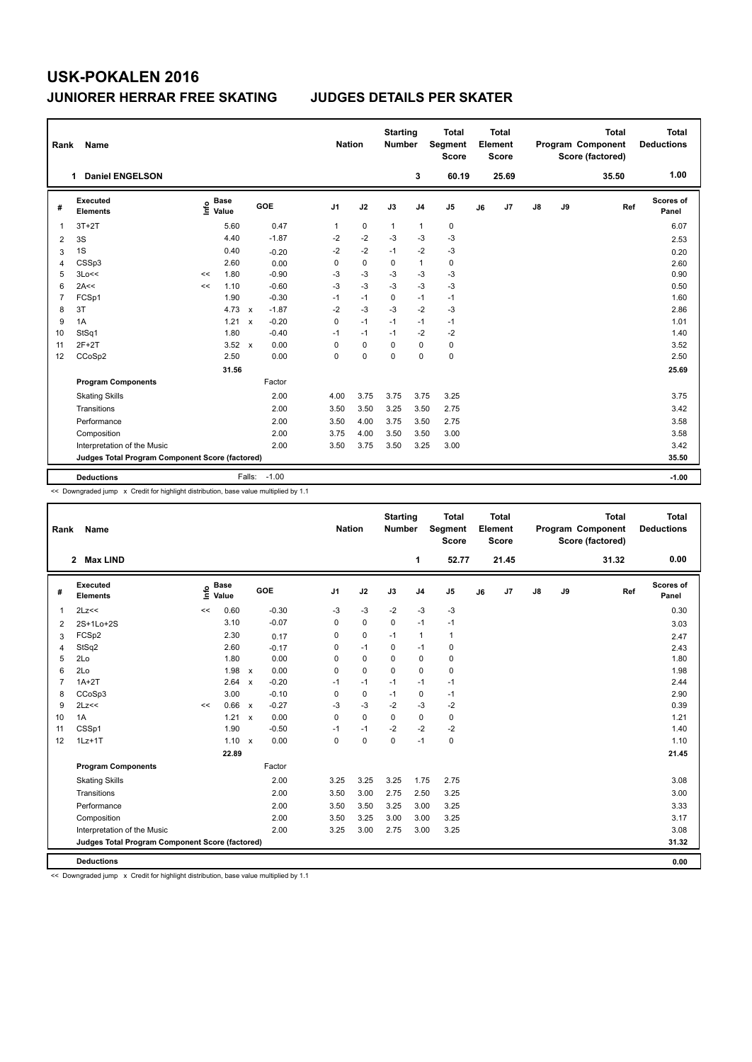## **USK-POKALEN 2016 JUNIORER HERRAR FREE SKATING JUDGES DETAILS PER SKATER**

| Rank | Name                                            |                                  | <b>Nation</b>                        |                | <b>Starting</b><br><b>Number</b> | <b>Total</b><br>Segment<br><b>Score</b> | <b>Total</b><br>Element<br><b>Score</b> |             |    |       | <b>Total</b><br>Program Component<br>Score (factored) | Total<br><b>Deductions</b> |       |                    |
|------|-------------------------------------------------|----------------------------------|--------------------------------------|----------------|----------------------------------|-----------------------------------------|-----------------------------------------|-------------|----|-------|-------------------------------------------------------|----------------------------|-------|--------------------|
|      | <b>Daniel ENGELSON</b><br>1.                    |                                  |                                      |                |                                  |                                         | 3                                       | 60.19       |    | 25.69 |                                                       |                            | 35.50 | 1.00               |
| #    | Executed<br><b>Elements</b>                     | <b>Base</b><br>e Base<br>⊆ Value | GOE                                  | J <sub>1</sub> | J2                               | J3                                      | J <sub>4</sub>                          | J5          | J6 | J7    | $\mathsf{J}8$                                         | J9                         | Ref   | Scores of<br>Panel |
| -1   | $3T+2T$                                         | 5.60                             | 0.47                                 | $\mathbf{1}$   | $\mathbf 0$                      | $\mathbf{1}$                            | $\mathbf{1}$                            | 0           |    |       |                                                       |                            |       | 6.07               |
| 2    | 3S                                              | 4.40                             | $-1.87$                              | $-2$           | $-2$                             | $-3$                                    | $-3$                                    | $-3$        |    |       |                                                       |                            |       | 2.53               |
| 3    | 1S                                              | 0.40                             | $-0.20$                              | $-2$           | $-2$                             | $-1$                                    | $-2$                                    | $-3$        |    |       |                                                       |                            |       | 0.20               |
| 4    | CSSp3                                           | 2.60                             | 0.00                                 | 0              | $\mathbf 0$                      | $\mathbf 0$                             | $\mathbf{1}$                            | $\mathbf 0$ |    |       |                                                       |                            |       | 2.60               |
| 5    | 3Lo<<                                           | 1.80<br><<                       | $-0.90$                              | $-3$           | $-3$                             | $-3$                                    | $-3$                                    | $-3$        |    |       |                                                       |                            |       | 0.90               |
| 6    | 2A<<                                            | 1.10<br><<                       | $-0.60$                              | $-3$           | $-3$                             | $-3$                                    | $-3$                                    | $-3$        |    |       |                                                       |                            |       | 0.50               |
| 7    | FCSp1                                           | 1.90                             | $-0.30$                              | $-1$           | $-1$                             | 0                                       | $-1$                                    | $-1$        |    |       |                                                       |                            |       | 1.60               |
| 8    | 3T                                              | 4.73                             | $-1.87$<br>$\boldsymbol{\mathsf{x}}$ | $-2$           | $-3$                             | $-3$                                    | $-2$                                    | $-3$        |    |       |                                                       |                            |       | 2.86               |
| 9    | 1A                                              | 1.21                             | $-0.20$<br>$\boldsymbol{\mathsf{x}}$ | 0              | $-1$                             | $-1$                                    | $-1$                                    | $-1$        |    |       |                                                       |                            |       | 1.01               |
| 10   | StSq1                                           | 1.80                             | $-0.40$                              | $-1$           | $-1$                             | $-1$                                    | $-2$                                    | $-2$        |    |       |                                                       |                            |       | 1.40               |
| 11   | $2F+2T$                                         | $3.52 \times$                    | 0.00                                 | 0              | $\mathbf 0$                      | 0                                       | $\mathbf 0$                             | 0           |    |       |                                                       |                            |       | 3.52               |
| 12   | CCoSp2                                          | 2.50                             | 0.00                                 | 0              | 0                                | $\Omega$                                | $\mathbf 0$                             | $\mathbf 0$ |    |       |                                                       |                            |       | 2.50               |
|      |                                                 | 31.56                            |                                      |                |                                  |                                         |                                         |             |    |       |                                                       |                            |       | 25.69              |
|      | <b>Program Components</b>                       |                                  | Factor                               |                |                                  |                                         |                                         |             |    |       |                                                       |                            |       |                    |
|      | <b>Skating Skills</b>                           |                                  | 2.00                                 | 4.00           | 3.75                             | 3.75                                    | 3.75                                    | 3.25        |    |       |                                                       |                            |       | 3.75               |
|      | Transitions                                     |                                  | 2.00                                 | 3.50           | 3.50                             | 3.25                                    | 3.50                                    | 2.75        |    |       |                                                       |                            |       | 3.42               |
|      | Performance                                     |                                  | 2.00                                 | 3.50           | 4.00                             | 3.75                                    | 3.50                                    | 2.75        |    |       |                                                       |                            |       | 3.58               |
|      | Composition                                     |                                  | 2.00                                 | 3.75           | 4.00                             | 3.50                                    | 3.50                                    | 3.00        |    |       |                                                       |                            |       | 3.58               |
|      | Interpretation of the Music                     |                                  | 2.00                                 | 3.50           | 3.75                             | 3.50                                    | 3.25                                    | 3.00        |    |       |                                                       |                            |       | 3.42               |
|      | Judges Total Program Component Score (factored) |                                  |                                      |                |                                  |                                         |                                         |             |    |       |                                                       |                            |       | 35.50              |
|      | <b>Deductions</b>                               |                                  | $-1.00$<br>Falls:                    |                |                                  |                                         |                                         |             |    |       |                                                       |                            |       | $-1.00$            |

<< Downgraded jump x Credit for highlight distribution, base value multiplied by 1.1

| Rank           | Name                                            |      |                      |              |         | <b>Nation</b>  |             | <b>Starting</b><br><b>Number</b> |                | <b>Total</b><br>Segment<br><b>Score</b> |    | <b>Total</b><br>Element<br>Score |    |    | <b>Total</b><br>Program Component<br>Score (factored) | <b>Total</b><br><b>Deductions</b> |
|----------------|-------------------------------------------------|------|----------------------|--------------|---------|----------------|-------------|----------------------------------|----------------|-----------------------------------------|----|----------------------------------|----|----|-------------------------------------------------------|-----------------------------------|
|                | 2 Max LIND                                      |      |                      |              |         |                |             |                                  | 1              | 52.77                                   |    | 21.45                            |    |    | 31.32                                                 | 0.00                              |
| #              | Executed<br><b>Elements</b>                     | lnfo | <b>Base</b><br>Value |              | GOE     | J <sub>1</sub> | J2          | J3                               | J <sub>4</sub> | J <sub>5</sub>                          | J6 | J7                               | J8 | J9 | Ref                                                   | <b>Scores of</b><br>Panel         |
| $\mathbf{1}$   | 2Lz<<                                           | <<   | 0.60                 |              | $-0.30$ | -3             | $-3$        | $-2$                             | $-3$           | -3                                      |    |                                  |    |    |                                                       | 0.30                              |
| $\overline{2}$ | 2S+1Lo+2S                                       |      | 3.10                 |              | $-0.07$ | 0              | $\pmb{0}$   | $\mathbf 0$                      | $-1$           | $-1$                                    |    |                                  |    |    |                                                       | 3.03                              |
| 3              | FCSp2                                           |      | 2.30                 |              | 0.17    | 0              | $\mathbf 0$ | $-1$                             | $\mathbf{1}$   | $\mathbf{1}$                            |    |                                  |    |    |                                                       | 2.47                              |
| $\overline{4}$ | StSq2                                           |      | 2.60                 |              | $-0.17$ | 0              | $-1$        | 0                                | $-1$           | 0                                       |    |                                  |    |    |                                                       | 2.43                              |
| 5              | 2Lo                                             |      | 1.80                 |              | 0.00    | 0              | $\mathbf 0$ | $\Omega$                         | $\mathbf 0$    | $\pmb{0}$                               |    |                                  |    |    |                                                       | 1.80                              |
| 6              | 2Lo                                             |      | 1.98                 | $\mathsf{x}$ | 0.00    | 0              | $\mathbf 0$ | $\mathbf 0$                      | $\mathbf 0$    | $\pmb{0}$                               |    |                                  |    |    |                                                       | 1.98                              |
| $\overline{7}$ | $1A+2T$                                         |      | 2.64                 | $\mathsf{x}$ | $-0.20$ | $-1$           | $-1$        | $-1$                             | $-1$           | $-1$                                    |    |                                  |    |    |                                                       | 2.44                              |
| 8              | CCoSp3                                          |      | 3.00                 |              | $-0.10$ | 0              | $\mathbf 0$ | $-1$                             | $\pmb{0}$      | $-1$                                    |    |                                  |    |    |                                                       | 2.90                              |
| 9              | 2Lz<<                                           | <<   | 0.66 x               |              | $-0.27$ | -3             | $-3$        | $-2$                             | $-3$           | $-2$                                    |    |                                  |    |    |                                                       | 0.39                              |
| 10             | 1A                                              |      | 1.21                 | $\mathsf{x}$ | 0.00    | 0              | $\mathbf 0$ | $\Omega$                         | $\mathbf 0$    | $\mathbf 0$                             |    |                                  |    |    |                                                       | 1.21                              |
| 11             | CSSp1                                           |      | 1.90                 |              | $-0.50$ | -1             | $-1$        | $-2$                             | $-2$           | $-2$                                    |    |                                  |    |    |                                                       | 1.40                              |
| 12             | $1Lz+1T$                                        |      | $1.10 \times$        |              | 0.00    | 0              | $\mathbf 0$ | $\mathbf 0$                      | $-1$           | $\pmb{0}$                               |    |                                  |    |    |                                                       | 1.10                              |
|                |                                                 |      | 22.89                |              |         |                |             |                                  |                |                                         |    |                                  |    |    |                                                       | 21.45                             |
|                | <b>Program Components</b>                       |      |                      |              | Factor  |                |             |                                  |                |                                         |    |                                  |    |    |                                                       |                                   |
|                | <b>Skating Skills</b>                           |      |                      |              | 2.00    | 3.25           | 3.25        | 3.25                             | 1.75           | 2.75                                    |    |                                  |    |    |                                                       | 3.08                              |
|                | Transitions                                     |      |                      |              | 2.00    | 3.50           | 3.00        | 2.75                             | 2.50           | 3.25                                    |    |                                  |    |    |                                                       | 3.00                              |
|                | Performance                                     |      |                      |              | 2.00    | 3.50           | 3.50        | 3.25                             | 3.00           | 3.25                                    |    |                                  |    |    |                                                       | 3.33                              |
|                | Composition                                     |      |                      |              | 2.00    | 3.50           | 3.25        | 3.00                             | 3.00           | 3.25                                    |    |                                  |    |    |                                                       | 3.17                              |
|                | Interpretation of the Music                     |      |                      |              | 2.00    | 3.25           | 3.00        | 2.75                             | 3.00           | 3.25                                    |    |                                  |    |    |                                                       | 3.08                              |
|                | Judges Total Program Component Score (factored) |      |                      |              |         |                |             |                                  |                |                                         |    |                                  |    |    |                                                       | 31.32                             |
|                | <b>Deductions</b>                               |      |                      |              |         |                |             |                                  |                |                                         |    |                                  |    |    |                                                       | 0.00                              |

<< Downgraded jump x Credit for highlight distribution, base value multiplied by 1.1